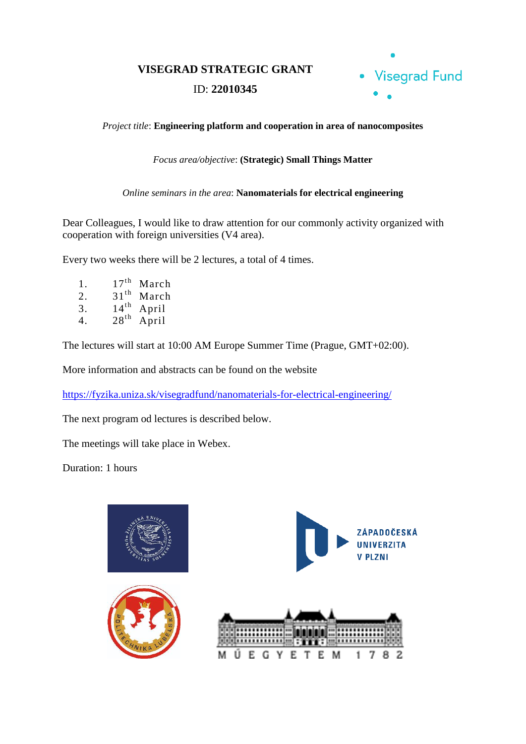**VISEGRAD STRATEGIC GRANT**

## ID: **22010345**



*Project title*: **Engineering platform and cooperation in area of nanocomposites**

*Focus area/objective*: **(Strategic) Small Things Matter**

*Online seminars in the area*: **Nanomaterials for electrical engineering**

Dear Colleagues, I would like to draw attention for our commonly activity organized with cooperation with foreign universities (V4 area).

Every two weeks there will be 2 lectures, a total of 4 times.

1.  $17^{\text{th}}$  March<br>2.  $31^{\text{th}}$  March 2.  $31<sup>th</sup>$  March 3.  $14<sup>th</sup>$  April 4.  $28<sup>th</sup>$  April

The lectures will start at 10:00 AM Europe Summer Time (Prague, GMT+02:00).

More information and abstracts can be found on the website

<https://fyzika.uniza.sk/visegradfund/nanomaterials-for-electrical-engineering/>

The next program od lectures is described below.

The meetings will take place in Webex.

Duration: 1 hours

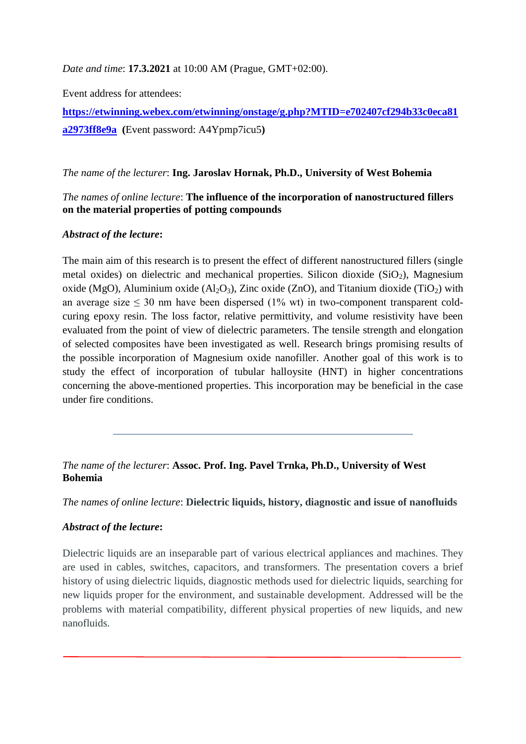*Date and time*: **17.3.2021** at 10:00 AM (Prague, GMT+02:00).

Event address for attendees:

**[https://etwinning.webex.com/etwinning/onstage/g.php?MTID=e702407cf294b33c0eca81](https://etwinning.webex.com/etwinning/onstage/g.php?MTID=e702407cf294b33c0eca81a2973ff8e9a) [a2973ff8e9a](https://etwinning.webex.com/etwinning/onstage/g.php?MTID=e702407cf294b33c0eca81a2973ff8e9a) (**Event password: A4Ypmp7icu5**)**

### *The name of the lecturer*: **Ing. Jaroslav Hornak, Ph.D., University of West Bohemia**

### *The names of online lecture*: **The influence of the incorporation of nanostructured fillers on the material properties of potting compounds**

## *Abstract of the lecture***:**

The main aim of this research is to present the effect of different nanostructured fillers (single metal oxides) on dielectric and mechanical properties. Silicon dioxide  $(SiO<sub>2</sub>)$ , Magnesium oxide (MgO), Aluminium oxide (Al<sub>2</sub>O<sub>3</sub>), Zinc oxide (ZnO), and Titanium dioxide (TiO<sub>2</sub>) with an average size  $\leq$  30 nm have been dispersed (1% wt) in two-component transparent coldcuring epoxy resin. The loss factor, relative permittivity, and volume resistivity have been evaluated from the point of view of dielectric parameters. The tensile strength and elongation of selected composites have been investigated as well. Research brings promising results of the possible incorporation of Magnesium oxide nanofiller. Another goal of this work is to study the effect of incorporation of tubular halloysite (HNT) in higher concentrations concerning the above-mentioned properties. This incorporation may be beneficial in the case under fire conditions.

*The name of the lecturer*: **Assoc. Prof. Ing. Pavel Trnka, Ph.D., University of West Bohemia**

*The names of online lecture*: **Dielectric liquids, history, diagnostic and issue of nanofluids**

# *Abstract of the lecture***:**

Dielectric liquids are an inseparable part of various electrical appliances and machines. They are used in cables, switches, capacitors, and transformers. The presentation covers a brief history of using dielectric liquids, diagnostic methods used for dielectric liquids, searching for new liquids proper for the environment, and sustainable development. Addressed will be the problems with material compatibility, different physical properties of new liquids, and new nanofluids.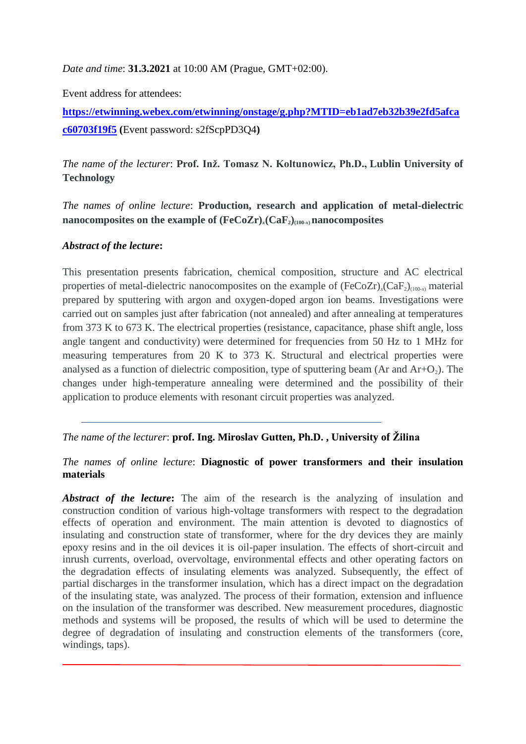*Date and time*: **31.3.2021** at 10:00 AM (Prague, GMT+02:00).

Event address for attendees:

**[https://etwinning.webex.com/etwinning/onstage/g.php?MTID=eb1ad7eb32b39e2fd5afca](https://etwinning.webex.com/etwinning/onstage/g.php?MTID=eb1ad7eb32b39e2fd5afcac60703f19f5) [c60703f19f5](https://etwinning.webex.com/etwinning/onstage/g.php?MTID=eb1ad7eb32b39e2fd5afcac60703f19f5) (**Event password: s2fScpPD3Q4**)**

*The name of the lecturer*: **Prof. Inž. Tomasz N. Koltunowicz, Ph.D., Lublin University of Technology**

*The names of online lecture*: **Production, research and application of metal-dielectric nanocomposites on the example of (FeCoZr)***x***(CaF2)(100-***x***)nanocomposites**

#### *Abstract of the lecture***:**

This presentation presents fabrication, chemical composition, structure and AC electrical properties of metal-dielectric nanocomposites on the example of  $(FeCoZr)_{x}(CaF_2)_{(100-x)}$  material prepared by sputtering with argon and oxygen-doped argon ion beams. Investigations were carried out on samples just after fabrication (not annealed) and after annealing at temperatures from 373 K to 673 K. The electrical properties (resistance, capacitance, phase shift angle, loss angle tangent and conductivity) were determined for frequencies from 50 Hz to 1 MHz for measuring temperatures from 20 K to 373 K. Structural and electrical properties were analysed as a function of dielectric composition, type of sputtering beam (Ar and  $Ar+O<sub>2</sub>$ ). The changes under high-temperature annealing were determined and the possibility of their application to produce elements with resonant circuit properties was analyzed.

*The name of the lecturer*: **prof. Ing. Miroslav Gutten, Ph.D. , University of Žilina**

### *The names of online lecture*: **Diagnostic of power transformers and their insulation materials**

Abstract of the lecture: The aim of the research is the analyzing of insulation and construction condition of various high-voltage transformers with respect to the degradation effects of operation and environment. The main attention is devoted to diagnostics of insulating and construction state of transformer, where for the dry devices they are mainly epoxy resins and in the oil devices it is oil-paper insulation. The effects of short-circuit and inrush currents, overload, overvoltage, environmental effects and other operating factors on the degradation effects of insulating elements was analyzed. Subsequently, the effect of partial discharges in the transformer insulation, which has a direct impact on the degradation of the insulating state, was analyzed. The process of their formation, extension and influence on the insulation of the transformer was described. New measurement procedures, diagnostic methods and systems will be proposed, the results of which will be used to determine the degree of degradation of insulating and construction elements of the transformers (core, windings, taps).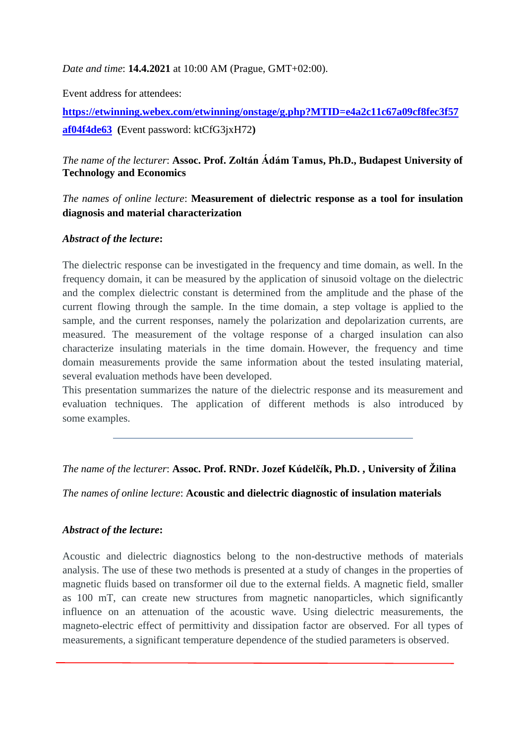*Date and time*: **14.4.2021** at 10:00 AM (Prague, GMT+02:00).

Event address for attendees:

**[https://etwinning.webex.com/etwinning/onstage/g.php?MTID=e4a2c11c67a09cf8fec3f57](https://etwinning.webex.com/etwinning/onstage/g.php?MTID=e4a2c11c67a09cf8fec3f57af04f4de63) [af04f4de63](https://etwinning.webex.com/etwinning/onstage/g.php?MTID=e4a2c11c67a09cf8fec3f57af04f4de63) (**Event password: ktCfG3jxH72**)**

## *The name of the lecturer*: **Assoc. Prof. Zoltán Ádám Tamus, Ph.D., Budapest University of Technology and Economics**

*The names of online lecture*: **Measurement of dielectric response as a tool for insulation diagnosis and material characterization**

#### *Abstract of the lecture***:**

The dielectric response can be investigated in the frequency and time domain, as well. In the frequency domain, it can be measured by the application of sinusoid voltage on the dielectric and the complex dielectric constant is determined from the amplitude and the phase of the current flowing through the sample. In the time domain, a step voltage is applied to the sample, and the current responses, namely the polarization and depolarization currents, are measured. The measurement of the voltage response of a charged insulation can also characterize insulating materials in the time domain. However, the frequency and time domain measurements provide the same information about the tested insulating material, several evaluation methods have been developed.

This presentation summarizes the nature of the dielectric response and its measurement and evaluation techniques. The application of different methods is also introduced by some examples.

### *The name of the lecturer*: **Assoc. Prof. RNDr. Jozef Kúdelčík, Ph.D. , University of Žilina**

*The names of online lecture*: **Acoustic and dielectric diagnostic of insulation materials**

### *Abstract of the lecture***:**

Acoustic and dielectric diagnostics belong to the non-destructive methods of materials analysis. The use of these two methods is presented at a study of changes in the properties of magnetic fluids based on transformer oil due to the external fields. A magnetic field, smaller as 100 mT, can create new structures from magnetic nanoparticles, which significantly influence on an attenuation of the acoustic wave. Using dielectric measurements, the magneto-electric effect of permittivity and dissipation factor are observed. For all types of measurements, a significant temperature dependence of the studied parameters is observed.